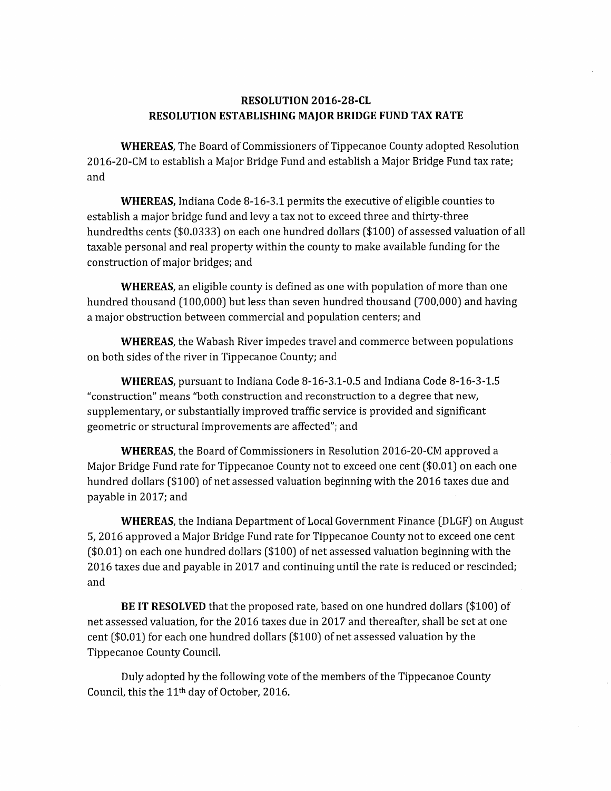## RESOLUTION 2016-28-CL RESOLUTION ESTABLISHING MAJOR BRIDGE FUND TAX RATE

WHEREAS, The Board of Commissioners of Tippecanoe County adopted Resolution RESOLUTION 2016-28-CL<br>RESOLUTION ESTABLISHING MAJOR BRIDGE FUND TAX RATE<br>WHEREAS, The Board of Commissioners of Tippecanoe County adopted Resolutio<br>2016-20-CM to establish a Major Bridge Fund and establish a Major Bridge F 201<br>and 0-CM to establish a Major Bridge Fund and establish a Major Bridge Fund tax r<br>WHEREAS, Indiana Code 8-16-3.1 permits the executive of eligible counties to

and<br>WHEREAS, Indiana Code 8-16-3.1 permits the executive of eligible counties to<br>establish a major bridge fund and levy a tax not to exceed three and thirty-three hundredths cents (\$00333) on each one hundred dollars [\$100) of assessed valuation of all **WHEREAS,** Indiana Code 8-16-3.1 permits the executive or eligible counties to<br>establish a major bridge fund and levy a tax not to exceed three and thirty-three<br>hundredths cents (\$0.0333) on each one hundred dollars (\$100) establish a major bridge rund and l<br>hundredths cents (\$0.0333) on ead<br>taxable personal and real property<br>construction of major bridges; and construction of major bridges; and<br>WHEREAS, an eligible county is defined as one with population of more than one

construction of major bridges; and<br>W**HEREAS**, an eligible county is defined as one with population of more than one<br>hundred thousand (100,000) but less than seven hundred thousand (700,000) and having **WHEREAS**, an eligible county is defined as one with population<br>) hundred thousand (100,000) but less than seven hundred thousand<br>a major obstruction between commercial and population centers; and d thousand (100,000) but less than seven hundred thousand (700,000) and havin<sub>i</sub><br>: obstruction between commercial and population centers; and<br>**WHEREAS**, the Wabash River impedes travel and commerce between populations

a major obstruction between commercial and population centers; and<br>WHEREAS, the Wabash River impedes travel and commerce be<br>on both sides of the river in Tippecanoe County; and WHEREAS, the Wabash River impedes travel and commerce between populations<br>i sides of the river in Tippecanoe County; and<br>WHEREAS, pursuant to Indiana Code 8-16-3.1-0.5 and Indiana Code 8-16-3-1.5

**WHEREAS**, pursuant to Indiana Code 8-16-3.1-0.5 and Indiana Code 8-16-3-1.5<br>"construction" means "both construction and reconstruction to a degree that new, **WHEREAS**, pursuant to Indiana Code 8-16-3.1-0.5 and Indiana Code 8-16-3-<br>"construction" means "both construction and reconstruction to a degree that new,<br>supplementary, or substantially improved traffic service is provide WHEREAS, pursuant to Indiana Code 8-16-3.1-0.5 and Indiana Code 8-16-3-1.5<br>"construction" means "both construction and reconstruction to a degree that new,<br>supplementary, or substantially improved traffic service is provid

geometric or structural improvements are affected"; and<br>**WHEREAS**, the Board of Commissioners in Resolution 2016-20-CM approved a<br>Major Bridge Fund rate for Tippecanoe County not to exceed one cent (\$0.01) on each one **WHEREAS**, the Board of Commissioners in Resolution 2016-20-CM approved a<br>Major Bridge Fund rate for Tippecanoe County not to exceed one cent (\$0.01) on each or<br>hundred dollars (\$100) of net assessed valuation beginning wi matched in 2012–2013<br>Major Bridge Fund ra<br>hundred dollars (\$10<br>payable in 2017; and hundred dollars (\$100) of net assessed valuation beginning with the 2016 taxes due and<br>payable in 2017; and<br>**WHEREAS**, the Indiana Department of Local Government Finance (DLGF) on August

payable in 2017; and<br>**WHEREAS**, the Indiana Department of Local Government Finance (DLGF) on Augu:<br>5, 2016 approved a Major Bridge Fund rate for Tippecanoe County not to exceed one cent WHEREAS, the Indiana Department of Local Government Finance (DLGF) on Augu<br>5, 2016 approved a Major Bridge Fund rate for Tippecanoe County not to exceed one cen<br>(\$0.01) on each one hundred dollars (\$100) of net assessed va WHEREAS, the Indiana Department of Local Government Finance (DLGF) on Augu<br>5, 2016 approved a Major Bridge Fund rate for Tippecanoe County not to exceed one cent<br>(\$0.01) on each one hundred dollars (\$100) of net assessed v 5, 2<br>(\$0.<br>201<br>and on each one hundred dollars (\$100) of net assessed valuation beginning with the<br>xes due and payable in 2017 and continuing until the rate is reduced or rescinded<br>BE IT RESOLVED that the proposed rate, based on one hundred

and<br>**BE IT RESOLVED** that the proposed rate, based on one hundred dollars (\$100) of<br>net assessed valuation, for the 2016 taxes due in 2017 and thereafter, shall be set at one BE IT RESOLVED that the proposed rate, based on one hundred dollars (\$<br>net assessed valuation, for the 2016 taxes due in 2017 and thereafter, shall be set<br>cent (\$0.01) for each one hundred dollars (\$100) of net assessed va BE IT RESULVED th<br>net assessed valuation, for t<br>cent (\$0.01) for each one hi<br>Tippecanoe County Council 0.01) for each one hundred dollars (\$100) of net assessed valuation by the<br>anoe County Council.<br>Duly adopted by the following vote of the members of the Tippecanoe County

Tippecanoe County Council.<br>Duly adopted by the following vote of the members of the Tippecanoe County<br>Council, this the 11<sup>th</sup> day of October, 2016.